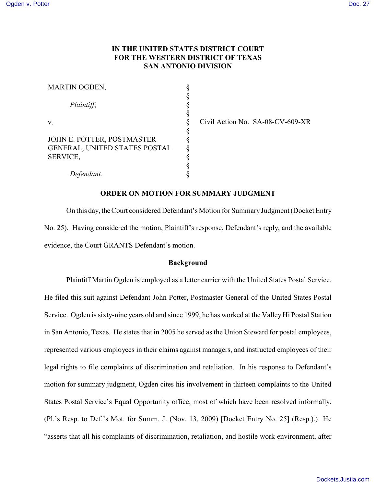# **IN THE UNITED STATES DISTRICT COURT FOR THE WESTERN DISTRICT OF TEXAS SAN ANTONIO DIVISION**

| MARTIN OGDEN,                 |  |
|-------------------------------|--|
|                               |  |
| Plaintiff,                    |  |
|                               |  |
| v.                            |  |
|                               |  |
| JOHN E. POTTER, POSTMASTER    |  |
| GENERAL, UNITED STATES POSTAL |  |
| <b>SERVICE,</b>               |  |
|                               |  |
| Defendant.                    |  |

Civil Action No. SA-08-CV-609-XR

### **ORDER ON MOTION FOR SUMMARY JUDGMENT**

On this day, the Court considered Defendant's Motion for Summary Judgment (Docket Entry No. 25). Having considered the motion, Plaintiff's response, Defendant's reply, and the available evidence, the Court GRANTS Defendant's motion.

## **Background**

Plaintiff Martin Ogden is employed as a letter carrier with the United States Postal Service. He filed this suit against Defendant John Potter, Postmaster General of the United States Postal Service. Ogden is sixty-nine years old and since 1999, he has worked at the Valley Hi Postal Station in San Antonio, Texas. He states that in 2005 he served as the Union Steward for postal employees, represented various employees in their claims against managers, and instructed employees of their legal rights to file complaints of discrimination and retaliation. In his response to Defendant's motion for summary judgment, Ogden cites his involvement in thirteen complaints to the United States Postal Service's Equal Opportunity office, most of which have been resolved informally. (Pl.'s Resp. to Def.'s Mot. for Summ. J. (Nov. 13, 2009) [Docket Entry No. 25] (Resp.).) He "asserts that all his complaints of discrimination, retaliation, and hostile work environment, after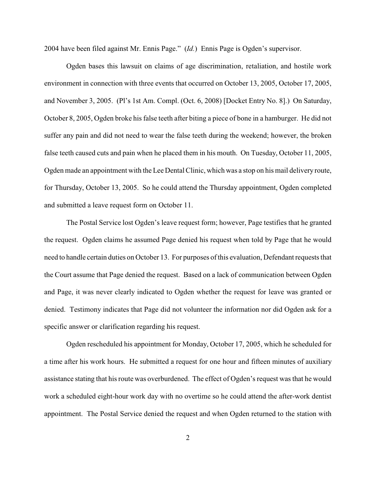2004 have been filed against Mr. Ennis Page." (*Id.*) Ennis Page is Ogden's supervisor.

Ogden bases this lawsuit on claims of age discrimination, retaliation, and hostile work environment in connection with three events that occurred on October 13, 2005, October 17, 2005, and November 3, 2005. (Pl's 1st Am. Compl. (Oct. 6, 2008) [Docket Entry No. 8].) On Saturday, October 8, 2005, Ogden broke his false teeth after biting a piece of bone in a hamburger. He did not suffer any pain and did not need to wear the false teeth during the weekend; however, the broken false teeth caused cuts and pain when he placed them in his mouth. On Tuesday, October 11, 2005, Ogden made an appointment with the Lee Dental Clinic, which was a stop on his mail delivery route, for Thursday, October 13, 2005. So he could attend the Thursday appointment, Ogden completed and submitted a leave request form on October 11.

The Postal Service lost Ogden's leave request form; however, Page testifies that he granted the request. Ogden claims he assumed Page denied his request when told by Page that he would need to handle certain duties on October 13. For purposes of this evaluation, Defendant requests that the Court assume that Page denied the request. Based on a lack of communication between Ogden and Page, it was never clearly indicated to Ogden whether the request for leave was granted or denied. Testimony indicates that Page did not volunteer the information nor did Ogden ask for a specific answer or clarification regarding his request.

Ogden rescheduled his appointment for Monday, October 17, 2005, which he scheduled for a time after his work hours. He submitted a request for one hour and fifteen minutes of auxiliary assistance stating that hisroute was overburdened. The effect of Ogden's request was that he would work a scheduled eight-hour work day with no overtime so he could attend the after-work dentist appointment. The Postal Service denied the request and when Ogden returned to the station with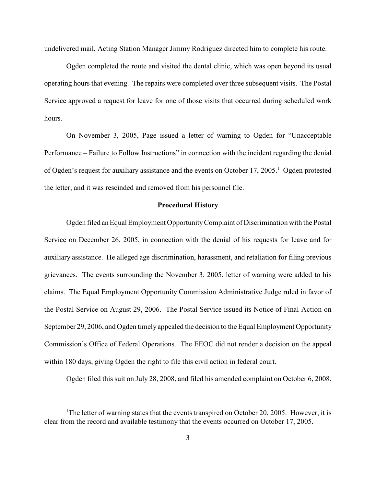undelivered mail, Acting Station Manager Jimmy Rodriguez directed him to complete his route.

Ogden completed the route and visited the dental clinic, which was open beyond its usual operating hours that evening. The repairs were completed over three subsequent visits. The Postal Service approved a request for leave for one of those visits that occurred during scheduled work hours.

On November 3, 2005, Page issued a letter of warning to Ogden for "Unacceptable Performance – Failure to Follow Instructions" in connection with the incident regarding the denial of Ogden's request for auxiliary assistance and the events on October 17, 2005.<sup>1</sup> Ogden protested the letter, and it was rescinded and removed from his personnel file.

# **Procedural History**

Ogden filed an Equal Employment Opportunity Complaint of Discrimination with the Postal Service on December 26, 2005, in connection with the denial of his requests for leave and for auxiliary assistance. He alleged age discrimination, harassment, and retaliation for filing previous grievances. The events surrounding the November 3, 2005, letter of warning were added to his claims. The Equal Employment Opportunity Commission Administrative Judge ruled in favor of the Postal Service on August 29, 2006. The Postal Service issued its Notice of Final Action on September 29, 2006, and Ogden timely appealed the decision to the Equal Employment Opportunity Commission's Office of Federal Operations. The EEOC did not render a decision on the appeal within 180 days, giving Ogden the right to file this civil action in federal court.

Ogden filed this suit on July 28, 2008, and filed his amended complaint on October 6, 2008.

<sup>&</sup>lt;sup>1</sup>The letter of warning states that the events transpired on October 20, 2005. However, it is clear from the record and available testimony that the events occurred on October 17, 2005.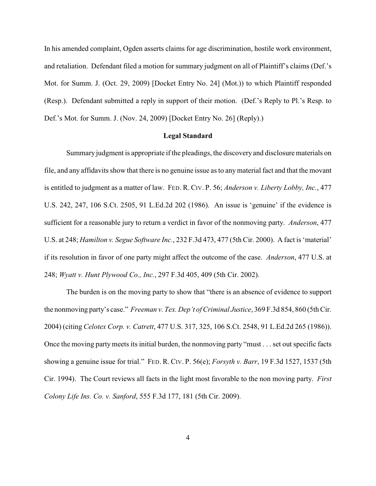In his amended complaint, Ogden asserts claims for age discrimination, hostile work environment, and retaliation. Defendant filed a motion for summary judgment on all of Plaintiff's claims (Def.'s Mot. for Summ. J. (Oct. 29, 2009) [Docket Entry No. 24] (Mot.)) to which Plaintiff responded (Resp.). Defendant submitted a reply in support of their motion. (Def.'s Reply to Pl.'s Resp. to Def.'s Mot. for Summ. J. (Nov. 24, 2009) [Docket Entry No. 26] (Reply).)

### **Legal Standard**

Summary judgment is appropriate if the pleadings, the discovery and disclosure materials on file, and any affidavits show that there is no genuine issue as to anymaterial fact and that the movant is entitled to judgment as a matter of law. FED. R. CIV. P. 56; *Anderson v. Liberty Lobby, Inc.*, 477 U.S. 242, 247, 106 S.Ct. 2505, 91 L.Ed.2d 202 (1986). An issue is 'genuine' if the evidence is sufficient for a reasonable jury to return a verdict in favor of the nonmoving party. *Anderson*, 477 U.S. at 248; *Hamilton v. Segue Software Inc.*, 232 F.3d 473, 477 (5th Cir. 2000). A fact is 'material' if its resolution in favor of one party might affect the outcome of the case. *Anderson*, 477 U.S. at 248; *Wyatt v. Hunt Plywood Co., Inc.*, 297 F.3d 405, 409 (5th Cir. 2002).

The burden is on the moving party to show that "there is an absence of evidence to support the nonmoving party's case." *Freeman v. Tex. Dep't of Criminal Justice*, 369 F.3d 854, 860 (5th Cir. 2004) (citing *Celotex Corp. v. Catrett*, 477 U.S. 317, 325, 106 S.Ct. 2548, 91 L.Ed.2d 265 (1986)). Once the moving party meets its initial burden, the nonmoving party "must . . . set out specific facts showing a genuine issue for trial." FED. R. CIV. P. 56(e); *Forsyth v. Barr*, 19 F.3d 1527, 1537 (5th Cir. 1994). The Court reviews all facts in the light most favorable to the non moving party. *First Colony Life Ins. Co. v. Sanford*, 555 F.3d 177, 181 (5th Cir. 2009).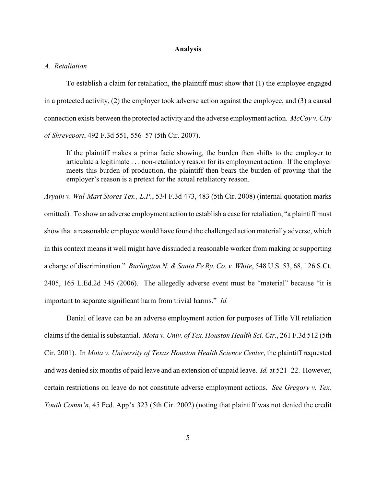#### **Analysis**

#### *A. Retaliation*

To establish a claim for retaliation, the plaintiff must show that (1) the employee engaged in a protected activity, (2) the employer took adverse action against the employee, and (3) a causal connection exists between the protected activity and the adverse employment action. *McCoy v. City of Shreveport*, 492 F.3d 551, 556–57 (5th Cir. 2007).

If the plaintiff makes a prima facie showing, the burden then shifts to the employer to articulate a legitimate . . . non-retaliatory reason for its employment action. If the employer meets this burden of production, the plaintiff then bears the burden of proving that the employer's reason is a pretext for the actual retaliatory reason.

*Aryain v. Wal-Mart Stores Tex., L.P.*, 534 F.3d 473, 483 (5th Cir. 2008) (internal quotation marks omitted). To show an adverse employment action to establish a case for retaliation, "a plaintiff must show that a reasonable employee would have found the challenged action materially adverse, which in this context means it well might have dissuaded a reasonable worker from making or supporting a charge of discrimination." *Burlington N. & Santa Fe Ry. Co. v. White*, 548 U.S. 53, 68, 126 S.Ct. 2405, 165 L.Ed.2d 345 (2006). The allegedly adverse event must be "material" because "it is important to separate significant harm from trivial harms." *Id.*

Denial of leave can be an adverse employment action for purposes of Title VII retaliation claims if the denial is substantial. *Mota v. Univ. of Tex. Houston Health Sci. Ctr.*, 261 F.3d 512 (5th Cir. 2001). In *Mota v. University of Texas Houston Health Science Center*, the plaintiff requested and was denied six months of paid leave and an extension of unpaid leave. *Id.* at 521–22. However, certain restrictions on leave do not constitute adverse employment actions. *See Gregory v. Tex. Youth Comm'n*, 45 Fed. App'x 323 (5th Cir. 2002) (noting that plaintiff was not denied the credit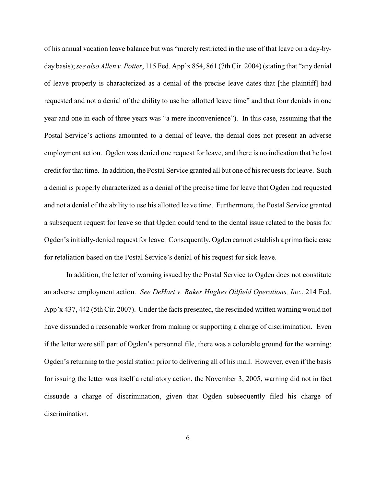of his annual vacation leave balance but was "merely restricted in the use of that leave on a day-byday basis);*see also Allen v. Potter*, 115 Fed. App'x 854, 861 (7th Cir. 2004) (stating that "any denial of leave properly is characterized as a denial of the precise leave dates that [the plaintiff] had requested and not a denial of the ability to use her allotted leave time" and that four denials in one year and one in each of three years was "a mere inconvenience"). In this case, assuming that the Postal Service's actions amounted to a denial of leave, the denial does not present an adverse employment action. Ogden was denied one request for leave, and there is no indication that he lost credit for that time. In addition, the Postal Service granted all but one of his requests for leave. Such a denial is properly characterized as a denial of the precise time for leave that Ogden had requested and not a denial of the ability to use his allotted leave time. Furthermore, the Postal Service granted a subsequent request for leave so that Ogden could tend to the dental issue related to the basis for Ogden's initially-denied request for leave. Consequently, Ogden cannot establish a prima facie case for retaliation based on the Postal Service's denial of his request for sick leave.

In addition, the letter of warning issued by the Postal Service to Ogden does not constitute an adverse employment action. *See DeHart v. Baker Hughes Oilfield Operations, Inc.*, 214 Fed. App'x 437, 442 (5th Cir. 2007). Under the facts presented, the rescinded written warning would not have dissuaded a reasonable worker from making or supporting a charge of discrimination. Even if the letter were still part of Ogden's personnel file, there was a colorable ground for the warning: Ogden's returning to the postal station prior to delivering all of his mail. However, even if the basis for issuing the letter was itself a retaliatory action, the November 3, 2005, warning did not in fact dissuade a charge of discrimination, given that Ogden subsequently filed his charge of discrimination.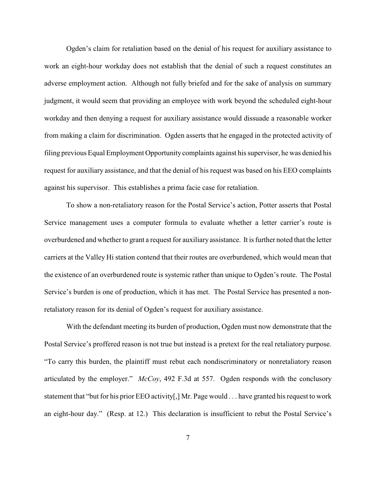Ogden's claim for retaliation based on the denial of his request for auxiliary assistance to work an eight-hour workday does not establish that the denial of such a request constitutes an adverse employment action. Although not fully briefed and for the sake of analysis on summary judgment, it would seem that providing an employee with work beyond the scheduled eight-hour workday and then denying a request for auxiliary assistance would dissuade a reasonable worker from making a claim for discrimination. Ogden asserts that he engaged in the protected activity of filing previous Equal Employment Opportunity complaints against his supervisor, he was denied his request for auxiliary assistance, and that the denial of his request was based on his EEO complaints against his supervisor. This establishes a prima facie case for retaliation.

To show a non-retaliatory reason for the Postal Service's action, Potter asserts that Postal Service management uses a computer formula to evaluate whether a letter carrier's route is overburdened and whether to grant a request for auxiliary assistance. It is further noted that the letter carriers at the Valley Hi station contend that their routes are overburdened, which would mean that the existence of an overburdened route is systemic rather than unique to Ogden's route. The Postal Service's burden is one of production, which it has met. The Postal Service has presented a nonretaliatory reason for its denial of Ogden's request for auxiliary assistance.

With the defendant meeting its burden of production, Ogden must now demonstrate that the Postal Service's proffered reason is not true but instead is a pretext for the real retaliatory purpose. "To carry this burden, the plaintiff must rebut each nondiscriminatory or nonretaliatory reason articulated by the employer." *McCoy*, 492 F.3d at 557. Ogden responds with the conclusory statement that "but for his prior EEO activity[,] Mr. Page would . . . have granted his request to work an eight-hour day." (Resp. at 12.) This declaration is insufficient to rebut the Postal Service's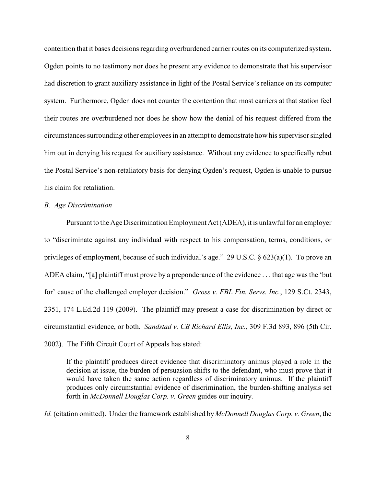contention that it bases decisions regarding overburdened carrier routes on its computerized system. Ogden points to no testimony nor does he present any evidence to demonstrate that his supervisor had discretion to grant auxiliary assistance in light of the Postal Service's reliance on its computer system. Furthermore, Ogden does not counter the contention that most carriers at that station feel their routes are overburdened nor does he show how the denial of his request differed from the circumstances surrounding other employees in an attempt to demonstrate how his supervisor singled him out in denying his request for auxiliary assistance. Without any evidence to specifically rebut the Postal Service's non-retaliatory basis for denying Ogden's request, Ogden is unable to pursue his claim for retaliation.

#### *B. Age Discrimination*

Pursuant to the Age Discrimination Employment Act (ADEA), it is unlawful for an employer to "discriminate against any individual with respect to his compensation, terms, conditions, or privileges of employment, because of such individual's age." 29 U.S.C.  $\S$  623(a)(1). To prove an ADEA claim, "[a] plaintiff must prove by a preponderance of the evidence . . . that age was the 'but for' cause of the challenged employer decision." *Gross v. FBL Fin. Servs. Inc.*, 129 S.Ct. 2343, 2351, 174 L.Ed.2d 119 (2009). The plaintiff may present a case for discrimination by direct or circumstantial evidence, or both. *Sandstad v. CB Richard Ellis, Inc.*, 309 F.3d 893, 896 (5th Cir. 2002). The Fifth Circuit Court of Appeals has stated:

If the plaintiff produces direct evidence that discriminatory animus played a role in the decision at issue, the burden of persuasion shifts to the defendant, who must prove that it would have taken the same action regardless of discriminatory animus. If the plaintiff produces only circumstantial evidence of discrimination, the burden-shifting analysis set forth in *McDonnell Douglas Corp. v. Green* guides our inquiry.

*Id.* (citation omitted). Under the framework established by *McDonnell Douglas Corp. v. Green*, the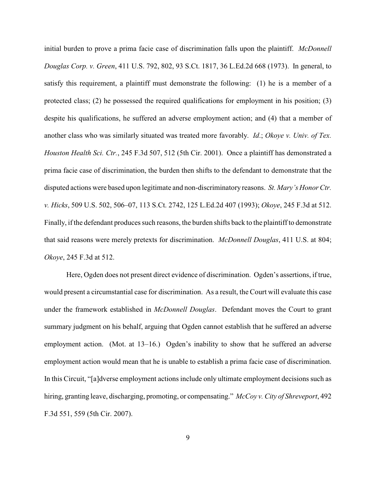initial burden to prove a prima facie case of discrimination falls upon the plaintiff. *McDonnell Douglas Corp. v. Green*, 411 U.S. 792, 802, 93 S.Ct. 1817, 36 L.Ed.2d 668 (1973). In general, to satisfy this requirement, a plaintiff must demonstrate the following: (1) he is a member of a protected class; (2) he possessed the required qualifications for employment in his position; (3) despite his qualifications, he suffered an adverse employment action; and (4) that a member of another class who was similarly situated was treated more favorably. *Id*.; *Okoye v. Univ. of Tex. Houston Health Sci. Ctr.*, 245 F.3d 507, 512 (5th Cir. 2001). Once a plaintiff has demonstrated a prima facie case of discrimination, the burden then shifts to the defendant to demonstrate that the disputed actions were based upon legitimate and non-discriminatory reasons. *St. Mary's Honor Ctr. v. Hicks*, 509 U.S. 502, 506–07, 113 S.Ct. 2742, 125 L.Ed.2d 407 (1993); *Okoye*, 245 F.3d at 512. Finally, if the defendant produces such reasons, the burden shifts back to the plaintiff to demonstrate that said reasons were merely pretexts for discrimination. *McDonnell Douglas*, 411 U.S. at 804; *Okoye*, 245 F.3d at 512.

Here, Ogden does not present direct evidence of discrimination. Ogden's assertions, if true, would present a circumstantial case for discrimination. As a result, the Court will evaluate this case under the framework established in *McDonnell Douglas*. Defendant moves the Court to grant summary judgment on his behalf, arguing that Ogden cannot establish that he suffered an adverse employment action. (Mot. at 13–16.) Ogden's inability to show that he suffered an adverse employment action would mean that he is unable to establish a prima facie case of discrimination. In this Circuit, "[a]dverse employment actions include only ultimate employment decisions such as hiring, granting leave, discharging, promoting, or compensating." *McCoy v. City of Shreveport*, 492 F.3d 551, 559 (5th Cir. 2007).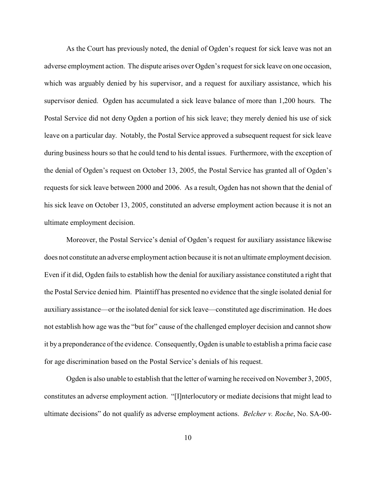As the Court has previously noted, the denial of Ogden's request for sick leave was not an adverse employment action. The dispute arises over Ogden's request for sick leave on one occasion, which was arguably denied by his supervisor, and a request for auxiliary assistance, which his supervisor denied. Ogden has accumulated a sick leave balance of more than 1,200 hours. The Postal Service did not deny Ogden a portion of his sick leave; they merely denied his use of sick leave on a particular day. Notably, the Postal Service approved a subsequent request for sick leave during business hours so that he could tend to his dental issues. Furthermore, with the exception of the denial of Ogden's request on October 13, 2005, the Postal Service has granted all of Ogden's requests for sick leave between 2000 and 2006. As a result, Ogden has not shown that the denial of his sick leave on October 13, 2005, constituted an adverse employment action because it is not an ultimate employment decision.

Moreover, the Postal Service's denial of Ogden's request for auxiliary assistance likewise does not constitute an adverse employment action because it is not an ultimate employment decision. Even if it did, Ogden fails to establish how the denial for auxiliary assistance constituted a right that the Postal Service denied him. Plaintiff has presented no evidence that the single isolated denial for auxiliary assistance—or the isolated denial for sick leave—constituted age discrimination. He does not establish how age was the "but for" cause of the challenged employer decision and cannot show it by a preponderance ofthe evidence. Consequently, Ogden is unable to establish a prima facie case for age discrimination based on the Postal Service's denials of his request.

Ogden is also unable to establish that the letter of warning he received on November 3, 2005, constitutes an adverse employment action. "[I]nterlocutory or mediate decisions that might lead to ultimate decisions" do not qualify as adverse employment actions. *Belcher v. Roche*, No. SA-00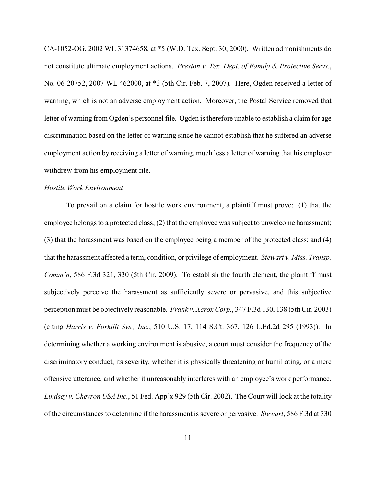CA-1052-OG, 2002 WL 31374658, at \*5 (W.D. Tex. Sept. 30, 2000). Written admonishments do not constitute ultimate employment actions. *Preston v. Tex. Dept. of Family & Protective Servs.*, No. 06-20752, 2007 WL 462000, at \*3 (5th Cir. Feb. 7, 2007). Here, Ogden received a letter of warning, which is not an adverse employment action. Moreover, the Postal Service removed that letter of warning from Ogden's personnel file. Ogden is therefore unable to establish a claim for age discrimination based on the letter of warning since he cannot establish that he suffered an adverse employment action by receiving a letter of warning, much less a letter of warning that his employer withdrew from his employment file.

### *Hostile Work Environment*

To prevail on a claim for hostile work environment, a plaintiff must prove: (1) that the employee belongs to a protected class; (2) that the employee was subject to unwelcome harassment; (3) that the harassment was based on the employee being a member of the protected class; and (4) that the harassment affected a term, condition, or privilege of employment. *Stewart v. Miss. Transp. Comm'n*, 586 F.3d 321, 330 (5th Cir. 2009). To establish the fourth element, the plaintiff must subjectively perceive the harassment as sufficiently severe or pervasive, and this subjective perception must be objectively reasonable. *Frank v. Xerox Corp.*, 347 F.3d 130, 138 (5th Cir. 2003) (citing *Harris v. Forklift Sys., Inc.*, 510 U.S. 17, 114 S.Ct. 367, 126 L.Ed.2d 295 (1993)). In determining whether a working environment is abusive, a court must consider the frequency of the discriminatory conduct, its severity, whether it is physically threatening or humiliating, or a mere offensive utterance, and whether it unreasonably interferes with an employee's work performance. *Lindsey v. Chevron USA Inc.*, 51 Fed. App'x 929 (5th Cir. 2002). The Court will look at the totality of the circumstances to determine if the harassment is severe or pervasive. *Stewart*, 586 F.3d at 330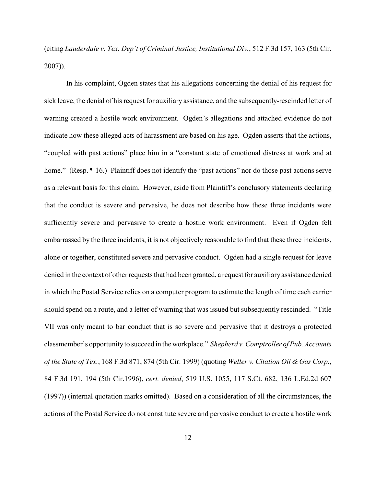(citing *Lauderdale v. Tex. Dep't of Criminal Justice, Institutional Div.*, 512 F.3d 157, 163 (5th Cir. 2007)).

In his complaint, Ogden states that his allegations concerning the denial of his request for sick leave, the denial of his request for auxiliary assistance, and the subsequently-rescinded letter of warning created a hostile work environment. Ogden's allegations and attached evidence do not indicate how these alleged acts of harassment are based on his age. Ogden asserts that the actions, "coupled with past actions" place him in a "constant state of emotional distress at work and at home." (Resp. ¶ 16.) Plaintiff does not identify the "past actions" nor do those past actions serve as a relevant basis for this claim. However, aside from Plaintiff's conclusory statements declaring that the conduct is severe and pervasive, he does not describe how these three incidents were sufficiently severe and pervasive to create a hostile work environment. Even if Ogden felt embarrassed by the three incidents, it is not objectively reasonable to find that these three incidents, alone or together, constituted severe and pervasive conduct. Ogden had a single request for leave denied in the context of other requests that had been granted, a request for auxiliary assistance denied in which the Postal Service relies on a computer program to estimate the length of time each carrier should spend on a route, and a letter of warning that was issued but subsequently rescinded. "Title VII was only meant to bar conduct that is so severe and pervasive that it destroys a protected classmember's opportunity to succeed in the workplace." *Shepherd v. Comptroller of Pub. Accounts of the State of Tex.*, 168 F.3d 871, 874 (5th Cir. 1999) (quoting *Weller v. Citation Oil & Gas Corp.*, 84 F.3d 191, 194 (5th Cir.1996), *cert. denied*, 519 U.S. 1055, 117 S.Ct. 682, 136 L.Ed.2d 607 (1997)) (internal quotation marks omitted). Based on a consideration of all the circumstances, the actions of the Postal Service do not constitute severe and pervasive conduct to create a hostile work